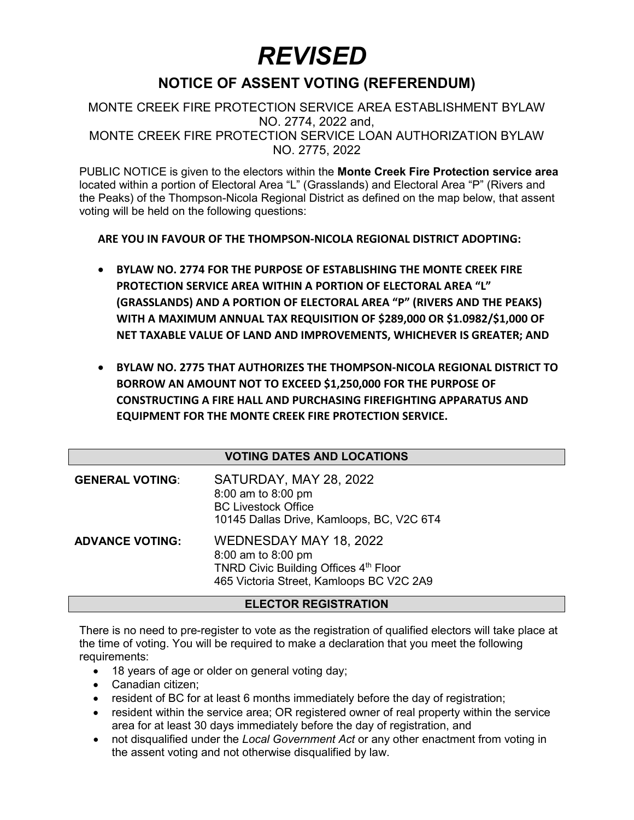## *REVISED*

### **NOTICE OF ASSENT VOTING (REFERENDUM)**

MONTE CREEK FIRE PROTECTION SERVICE AREA ESTABLISHMENT BYLAW NO. 2774, 2022 and, MONTE CREEK FIRE PROTECTION SERVICE LOAN AUTHORIZATION BYLAW NO. 2775, 2022

PUBLIC NOTICE is given to the electors within the **Monte Creek Fire Protection service area** located within a portion of Electoral Area "L" (Grasslands) and Electoral Area "P" (Rivers and the Peaks) of the Thompson-Nicola Regional District as defined on the map below, that assent voting will be held on the following questions:

**ARE YOU IN FAVOUR OF THE THOMPSON-NICOLA REGIONAL DISTRICT ADOPTING:**

- **BYLAW NO. 2774 FOR THE PURPOSE OF ESTABLISHING THE MONTE CREEK FIRE PROTECTION SERVICE AREA WITHIN A PORTION OF ELECTORAL AREA "L" (GRASSLANDS) AND A PORTION OF ELECTORAL AREA "P" (RIVERS AND THE PEAKS) WITH A MAXIMUM ANNUAL TAX REQUISITION OF \$289,000 OR \$1.0982/\$1,000 OF NET TAXABLE VALUE OF LAND AND IMPROVEMENTS, WHICHEVER IS GREATER; AND**
- **BYLAW NO. 2775 THAT AUTHORIZES THE THOMPSON-NICOLA REGIONAL DISTRICT TO BORROW AN AMOUNT NOT TO EXCEED \$1,250,000 FOR THE PURPOSE OF CONSTRUCTING A FIRE HALL AND PURCHASING FIREFIGHTING APPARATUS AND EQUIPMENT FOR THE MONTE CREEK FIRE PROTECTION SERVICE.**

| <b>VOTING DATES AND LOCATIONS</b> |                                                                                                                                   |
|-----------------------------------|-----------------------------------------------------------------------------------------------------------------------------------|
| <b>GENERAL VOTING:</b>            | SATURDAY, MAY 28, 2022<br>8:00 am to 8:00 pm<br><b>BC Livestock Office</b><br>10145 Dallas Drive, Kamloops, BC, V2C 6T4           |
| <b>ADVANCE VOTING:</b>            | WEDNESDAY MAY 18, 2022<br>8:00 am to 8:00 pm<br>TNRD Civic Building Offices 4th Floor<br>465 Victoria Street, Kamloops BC V2C 2A9 |

#### **ELECTOR REGISTRATION**

There is no need to pre-register to vote as the registration of qualified electors will take place at the time of voting. You will be required to make a declaration that you meet the following requirements:

- 18 years of age or older on general voting day;
- Canadian citizen;
- resident of BC for at least 6 months immediately before the day of registration;
- resident within the service area; OR registered owner of real property within the service area for at least 30 days immediately before the day of registration, and
- not disqualified under the *Local Government Act* or any other enactment from voting in the assent voting and not otherwise disqualified by law.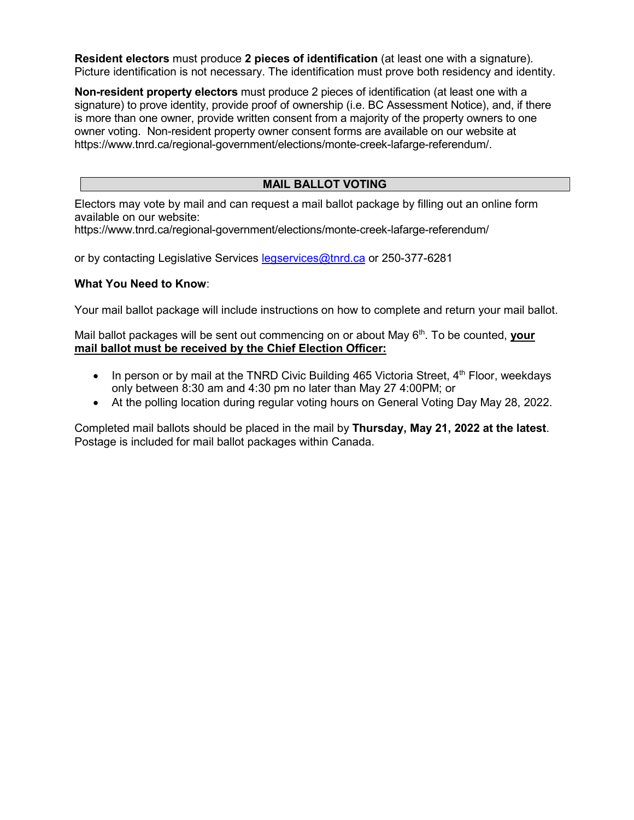**Resident electors** must produce **2 pieces of identification** (at least one with a signature). Picture identification is not necessary. The identification must prove both residency and identity.

**Non-resident property electors** must produce 2 pieces of identification (at least one with a signature) to prove identity, provide proof of ownership (i.e. BC Assessment Notice), and, if there is more than one owner, provide written consent from a majority of the property owners to one owner voting. Non-resident property owner consent forms are available on our website at https://www.tnrd.ca/regional-government/elections/monte-creek-lafarge-referendum/.

#### **MAIL BALLOT VOTING**

Electors may vote by mail and can request a mail ballot package by filling out an online form available on our website:

https://www.tnrd.ca/regional-government/elections/monte-creek-lafarge-referendum/

or by contacting Legislative Services legservices@thrd.ca or 250-377-6281

#### **What You Need to Know**:

Your mail ballot package will include instructions on how to complete and return your mail ballot.

Mail ballot packages will be sent out commencing on or about May 6th. To be counted, **your mail ballot must be received by the Chief Election Officer:** 

- In person or by mail at the TNRD Civic Building 465 Victoria Street,  $4<sup>th</sup>$  Floor, weekdays only between 8:30 am and 4:30 pm no later than May 27 4:00PM; or
- At the polling location during regular voting hours on General Voting Day May 28, 2022.

Completed mail ballots should be placed in the mail by **Thursday, May 21, 2022 at the latest**. Postage is included for mail ballot packages within Canada.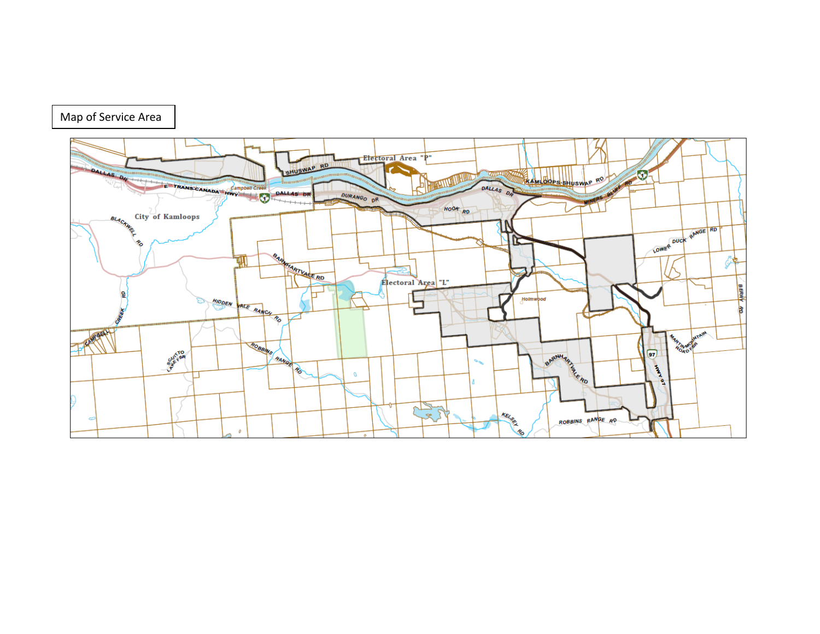

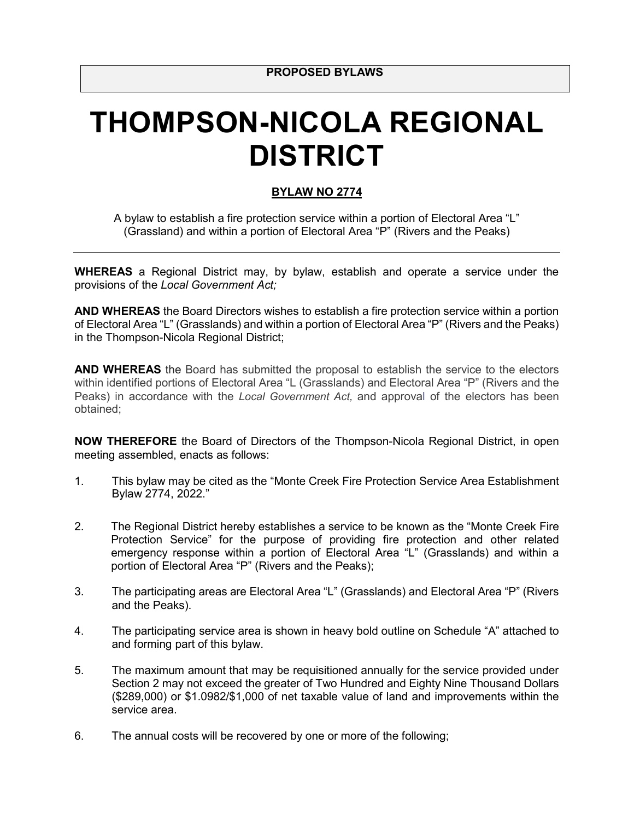# **THOMPSON-NICOLA REGIONAL DISTRICT**

#### **BYLAW NO 2774**

A bylaw to establish a fire protection service within a portion of Electoral Area "L" (Grassland) and within a portion of Electoral Area "P" (Rivers and the Peaks)

**WHEREAS** a Regional District may, by bylaw, establish and operate a service under the provisions of the *Local Government Act;*

**AND WHEREAS** the Board Directors wishes to establish a fire protection service within a portion of Electoral Area "L" (Grasslands) and within a portion of Electoral Area "P" (Rivers and the Peaks) in the Thompson-Nicola Regional District;

**AND WHEREAS** the Board has submitted the proposal to establish the service to the electors within identified portions of Electoral Area "L (Grasslands) and Electoral Area "P" (Rivers and the Peaks) in accordance with the *Local Government Act,* and approval of the electors has been obtained;

**NOW THEREFORE** the Board of Directors of the Thompson-Nicola Regional District, in open meeting assembled, enacts as follows:

- 1. This bylaw may be cited as the "Monte Creek Fire Protection Service Area Establishment Bylaw 2774, 2022."
- 2. The Regional District hereby establishes a service to be known as the "Monte Creek Fire Protection Service" for the purpose of providing fire protection and other related emergency response within a portion of Electoral Area "L" (Grasslands) and within a portion of Electoral Area "P" (Rivers and the Peaks);
- 3. The participating areas are Electoral Area "L" (Grasslands) and Electoral Area "P" (Rivers and the Peaks).
- 4. The participating service area is shown in heavy bold outline on Schedule "A" attached to and forming part of this bylaw.
- 5. The maximum amount that may be requisitioned annually for the service provided under Section 2 may not exceed the greater of Two Hundred and Eighty Nine Thousand Dollars (\$289,000) or \$1.0982/\$1,000 of net taxable value of land and improvements within the service area.
- 6. The annual costs will be recovered by one or more of the following;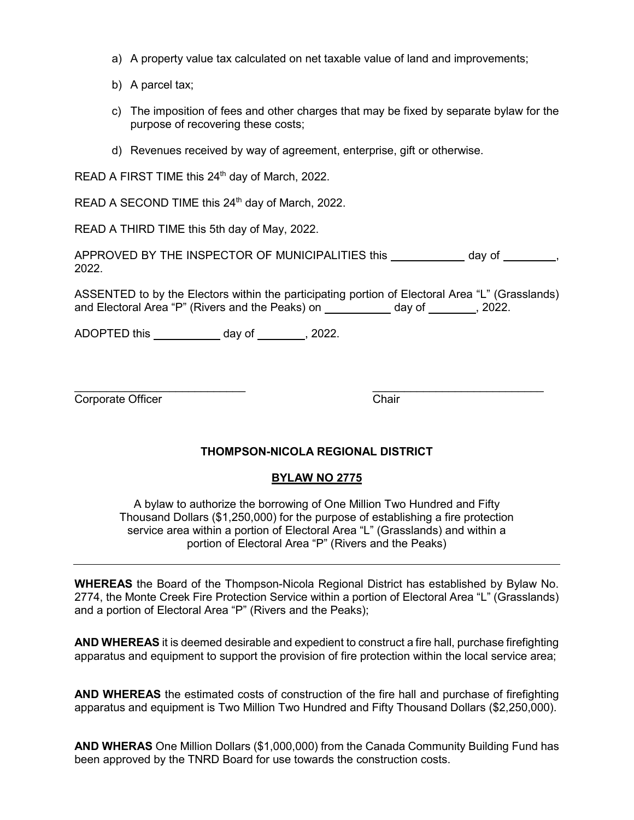- a) A property value tax calculated on net taxable value of land and improvements;
- b) A parcel tax;
- c) The imposition of fees and other charges that may be fixed by separate bylaw for the purpose of recovering these costs;
- d) Revenues received by way of agreement, enterprise, gift or otherwise.

READ A FIRST TIME this 24<sup>th</sup> day of March, 2022.

READ A SECOND TIME this 24<sup>th</sup> day of March, 2022.

READ A THIRD TIME this 5th day of May, 2022.

APPROVED BY THE INSPECTOR OF MUNICIPALITIES this \_\_\_\_\_\_\_\_\_\_\_\_ day of \_\_\_\_\_\_\_\_\_, 2022.

ASSENTED to by the Electors within the participating portion of Electoral Area "L" (Grasslands) and Electoral Area "P" (Rivers and the Peaks) on day of \_\_\_\_\_\_\_\_, 2022.

ADOPTED this  $\qquad \qquad$  day of  $\qquad \qquad$ , 2022.

 $\mathcal{L}_\text{max}$  , and the contract of the contract of the contract of the contract of the contract of the contract of the contract of the contract of the contract of the contract of the contract of the contract of the contr **Corporate Officer** Chair

#### **THOMPSON-NICOLA REGIONAL DISTRICT**

#### **BYLAW NO 2775**

A bylaw to authorize the borrowing of One Million Two Hundred and Fifty Thousand Dollars (\$1,250,000) for the purpose of establishing a fire protection service area within a portion of Electoral Area "L" (Grasslands) and within a portion of Electoral Area "P" (Rivers and the Peaks)

**WHEREAS** the Board of the Thompson-Nicola Regional District has established by Bylaw No. 2774, the Monte Creek Fire Protection Service within a portion of Electoral Area "L" (Grasslands) and a portion of Electoral Area "P" (Rivers and the Peaks);

**AND WHEREAS** it is deemed desirable and expedient to construct a fire hall, purchase firefighting apparatus and equipment to support the provision of fire protection within the local service area;

**AND WHEREAS** the estimated costs of construction of the fire hall and purchase of firefighting apparatus and equipment is Two Million Two Hundred and Fifty Thousand Dollars (\$2,250,000).

**AND WHERAS** One Million Dollars (\$1,000,000) from the Canada Community Building Fund has been approved by the TNRD Board for use towards the construction costs.